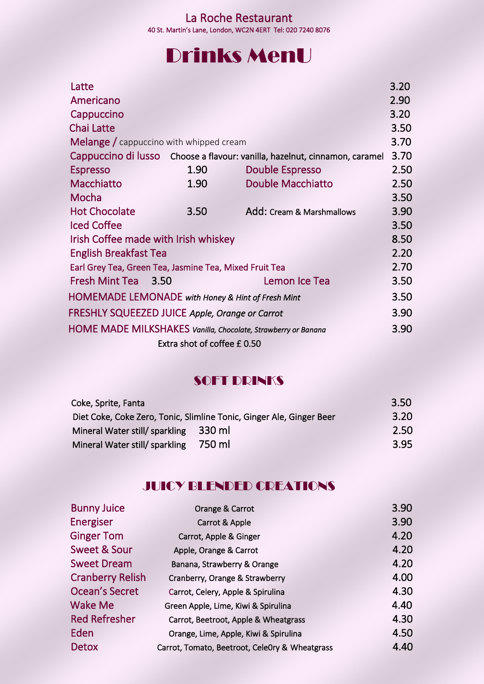## Drinks MenU

|                             | Latte                                                                                                                                                                |                                                        |                                                                            | 3.20 |  |  |
|-----------------------------|----------------------------------------------------------------------------------------------------------------------------------------------------------------------|--------------------------------------------------------|----------------------------------------------------------------------------|------|--|--|
|                             | Americano                                                                                                                                                            |                                                        |                                                                            | 2.90 |  |  |
|                             | Cappuccino                                                                                                                                                           |                                                        |                                                                            | 3.20 |  |  |
|                             | <b>Chai Latte</b>                                                                                                                                                    |                                                        |                                                                            | 3.50 |  |  |
|                             |                                                                                                                                                                      | <b>Melange</b> / cappuccino with whipped cream         |                                                                            | 3.70 |  |  |
|                             |                                                                                                                                                                      |                                                        | Cappuccino di lusso Choose a flavour: vanilla, hazelnut, cinnamon, caramel | 3.70 |  |  |
|                             | <b>Espresso</b>                                                                                                                                                      | 1.90                                                   | <b>Double Espresso</b>                                                     | 2.50 |  |  |
|                             | Macchiatto                                                                                                                                                           | 1.90                                                   | <b>Double Macchiatto</b>                                                   | 2.50 |  |  |
|                             | Mocha                                                                                                                                                                |                                                        |                                                                            | 3.50 |  |  |
|                             | <b>Hot Chocolate</b>                                                                                                                                                 | 3.50                                                   | Add: Cream & Marshmallows                                                  | 3.90 |  |  |
|                             | <b>Iced Coffee</b>                                                                                                                                                   |                                                        |                                                                            | 3.50 |  |  |
|                             | Irish Coffee made with Irish whiskey                                                                                                                                 |                                                        |                                                                            |      |  |  |
|                             | <b>English Breakfast Tea</b>                                                                                                                                         |                                                        |                                                                            | 2.20 |  |  |
|                             |                                                                                                                                                                      | Earl Grey Tea, Green Tea, Jasmine Tea, Mixed Fruit Tea |                                                                            | 2.70 |  |  |
|                             | Fresh Mint Tea 3.50                                                                                                                                                  |                                                        | Lemon Ice Tea                                                              | 3.50 |  |  |
|                             | HOMEMADE LEMONADE with Honey & Hint of Fresh Mint<br>FRESHLY SQUEEZED JUICE Apple, Orange or Carrot<br>HOME MADE MILKSHAKES Vanilla, Chocolate, Strawberry or Banana |                                                        |                                                                            |      |  |  |
|                             |                                                                                                                                                                      |                                                        |                                                                            |      |  |  |
|                             |                                                                                                                                                                      |                                                        |                                                                            |      |  |  |
| Extra shot of coffee £ 0.50 |                                                                                                                                                                      |                                                        |                                                                            |      |  |  |
|                             |                                                                                                                                                                      |                                                        |                                                                            |      |  |  |

### **SOFT DRINKS**

| 3.20 |
|------|
| 2.50 |
| 3.95 |
|      |

### JUICY BLENDED CREATIONS

| <b>Bunny Juice</b>      | Orange & Carrot                                | 3.90 |
|-------------------------|------------------------------------------------|------|
| Energiser               | Carrot & Apple                                 | 3.90 |
| <b>Ginger Tom</b>       | Carrot, Apple & Ginger                         | 4.20 |
| Sweet & Sour            | Apple, Orange & Carrot                         | 4.20 |
| <b>Sweet Dream</b>      | Banana, Strawberry & Orange                    | 4.20 |
| <b>Cranberry Relish</b> | Cranberry, Orange & Strawberry                 | 4.00 |
| Ocean's Secret          | Carrot, Celery, Apple & Spirulina              | 4.30 |
| Wake Me                 | Green Apple, Lime, Kiwi & Spirulina            | 4.40 |
| <b>Red Refresher</b>    | Carrot, Beetroot, Apple & Wheatgrass           | 4.30 |
| Eden                    | Orange, Lime, Apple, Kiwi & Spirulina          | 4.50 |
| <b>Detox</b>            | Carrot, Tomato, Beetroot, CeleOry & Wheatgrass | 4.40 |